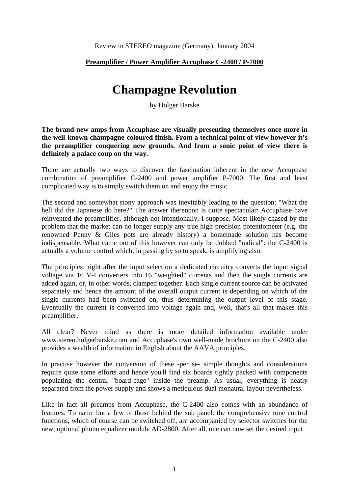## **Preamplifier / Power Amplifier Accuphase C-2400 / P-7000**

## **Champagne Revolution**

by Holger Barske

**The brand-new amps from Accuphase are visually presenting themselves once more in the well-known champagne-coloured finish. From a technical point of view however it's the preamplifier conquering new grounds. And from a sonic point of view there is definitely a palace coup on the way.** 

There are actually two ways to discover the fascination inherent in the new Accuphase combination of preamplifier C-2400 and power amplifier P-7000. The first and least complicated way is to simply switch them on and enjoy the music.

The second and somewhat stony approach was inevitably leading to the question: "What the hell did the Japanese do here?" The answer thereupon is quite spectacular: Accuphase have reinvented the preamplifier, although not intentionally, I suppose. Most likely chased by the problem that the market can no longer supply any true high-precision potentiometer (e.g. the renowned Penny & Giles pots are already history) a homemade solution has become indispensable. What came out of this however can only be dubbed "radical": the C-2400 is actually a volume control which, in passing by so to speak, is amplifying also.

The principles: right after the input selection a dedicated circuitry converts the input signal voltage via 16 V-I converters into 16 "weighted" currents and then the single currents are added again, or, in other words, clamped together. Each single current source can be activated separately and hence the amount of the overall output current is depending on which of the single currents had been switched on, thus determining the output level of this stage. Eventually the current is converted into voltage again and, well, that's all that makes this preamplifier.

All clear? Never mind as there is more detailed information available under www.stereo.holgerbarske.com and Accuphase's own well-made brochure on the C-2400 also provides a wealth of information in English about the AAVA principles.

In practise however the conversion of these -per se- simple thoughts and considerations require quite some efforts and hence you'll find six boards tightly packed with components populating the central "board-cage" inside the preamp. As usual, everything is neatly separated from the power supply and shows a meticulous dual monaural layout nevertheless.

Like in fact all preamps from Accuphase, the C-2400 also comes with an abundance of features. To name but a few of those behind the sub panel: the comprehensive tone control functions, which of course can be switched off, are accompanied by selector switches for the new, optional phono equalizer module AD-2800. After all, one can now set the desired input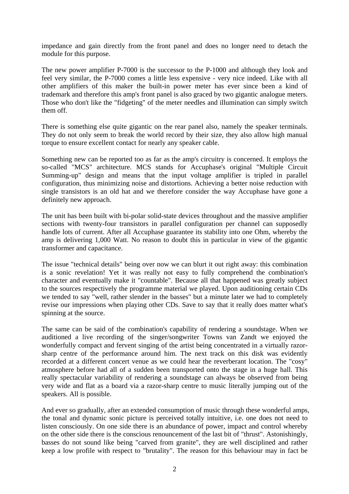impedance and gain directly from the front panel and does no longer need to detach the module for this purpose.

The new power amplifier P-7000 is the successor to the P-1000 and although they look and feel very similar, the P-7000 comes a little less expensive - very nice indeed. Like with all other amplifiers of this maker the built-in power meter has ever since been a kind of trademark and therefore this amp's front panel is also graced by two gigantic analogue meters. Those who don't like the "fidgeting" of the meter needles and illumination can simply switch them off.

There is something else quite gigantic on the rear panel also, namely the speaker terminals. They do not only seem to break the world record by their size, they also allow high manual torque to ensure excellent contact for nearly any speaker cable.

Something new can be reported too as far as the amp's circuitry is concerned. It employs the so-called "MCS" architecture. MCS stands for Accuphase's original "Multiple Circuit Summing-up" design and means that the input voltage amplifier is tripled in parallel configuration, thus minimizing noise and distortions. Achieving a better noise reduction with single transistors is an old hat and we therefore consider the way Accuphase have gone a definitely new approach.

The unit has been built with bi-polar solid-state devices throughout and the massive amplifier sections with twenty-four transistors in parallel configuration per channel can supposedly handle lots of current. After all Accuphase guarantee its stability into one Ohm, whereby the amp is delivering 1,000 Watt. No reason to doubt this in particular in view of the gigantic transformer and capacitance.

The issue "technical details" being over now we can blurt it out right away: this combination is a sonic revelation! Yet it was really not easy to fully comprehend the combination's character and eventually make it "countable". Because all that happened was greatly subject to the sources respectively the programme material we played. Upon auditioning certain CDs we tended to say "well, rather slender in the basses" but a minute later we had to completely revise our impressions when playing other CDs. Save to say that it really does matter what's spinning at the source.

The same can be said of the combination's capability of rendering a soundstage. When we auditioned a live recording of the singer/songwriter Towns van Zandt we enjoyed the wonderfully compact and fervent singing of the artist being concentrated in a virtually razorsharp centre of the performance around him. The next track on this disk was evidently recorded at a different concert venue as we could hear the reverberant location. The "cosy" atmosphere before had all of a sudden been transported onto the stage in a huge hall. This really spectacular variability of rendering a soundstage can always be observed from being very wide and flat as a board via a razor-sharp centre to music literally jumping out of the speakers. All is possible.

And ever so gradually, after an extended consumption of music through these wonderful amps, the tonal and dynamic sonic picture is perceived totally intuitive, i.e. one does not need to listen consciously. On one side there is an abundance of power, impact and control whereby on the other side there is the conscious renouncement of the last bit of "thrust". Astonishingly, basses do not sound like being "carved from granite", they are well disciplined and rather keep a low profile with respect to "brutality". The reason for this behaviour may in fact be